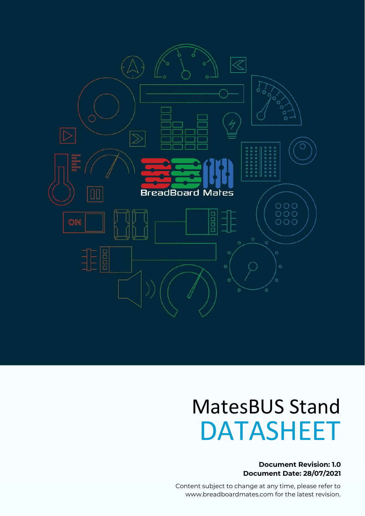

# MatesBUS Stand DATASHEET

#### **Document Revision: 1.0 Document Date: 28/07/2021**

www.breadboardmates.com MatesBus Stand **in the Industrial Indian Industrial** Content subject to change at any time, please refer to www.breadboardmates.com for the latest revision.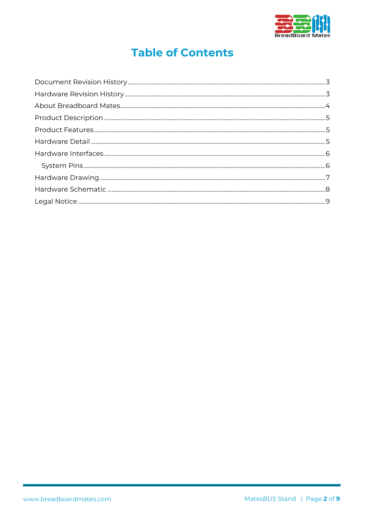

# **Table of Contents**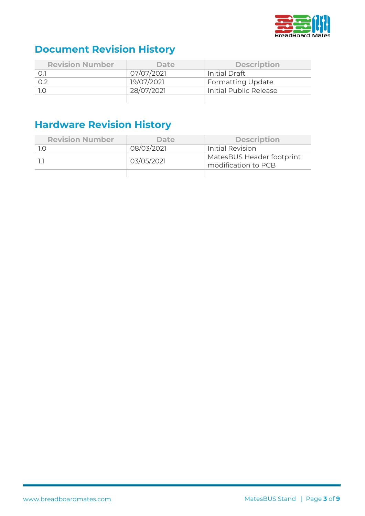

# <span id="page-2-0"></span>**Document Revision History**

| <b>Revision Number</b> | <b>Date</b> | <b>Description</b>       |
|------------------------|-------------|--------------------------|
|                        | 07/07/2021  | Initial Draft            |
| 0.2                    | 19/07/2021  | <b>Formatting Update</b> |
|                        | 28/07/2021  | Initial Public Release   |
|                        |             |                          |

# <span id="page-2-1"></span>**Hardware Revision History**

| <b>Revision Number</b> | <b>Date</b> | <b>Description</b>                               |
|------------------------|-------------|--------------------------------------------------|
|                        | 08/03/2021  | Initial Revision                                 |
|                        | 03/05/2021  | MatesBUS Header footprint<br>modification to PCB |
|                        |             |                                                  |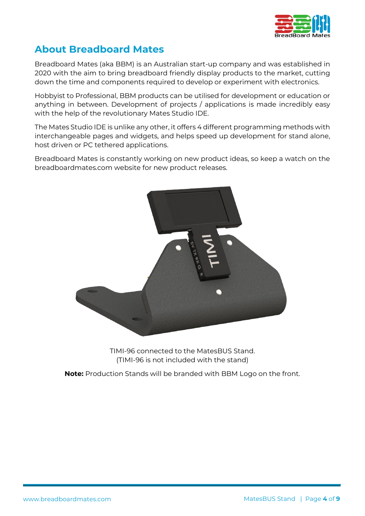

# <span id="page-3-0"></span>**About Breadboard Mates**

Breadboard Mates (aka BBM) is an Australian start-up company and was established in 2020 with the aim to bring breadboard friendly display products to the market, cutting down the time and components required to develop or experiment with electronics.

Hobbyist to Professional, BBM products can be utilised for development or education or anything in between. Development of projects / applications is made incredibly easy with the help of the revolutionary Mates Studio IDE.

The Mates Studio IDE is unlike any other, it offers 4 different programming methods with interchangeable pages and widgets, and helps speed up development for stand alone, host driven or PC tethered applications.

Breadboard Mates is constantly working on new product ideas, so keep a watch on the breadboardmates.com website for new product releases.



TIMI-96 connected to the MatesBUS Stand. (TIMI-96 is not included with the stand)

**Note:** Production Stands will be branded with BBM Logo on the front.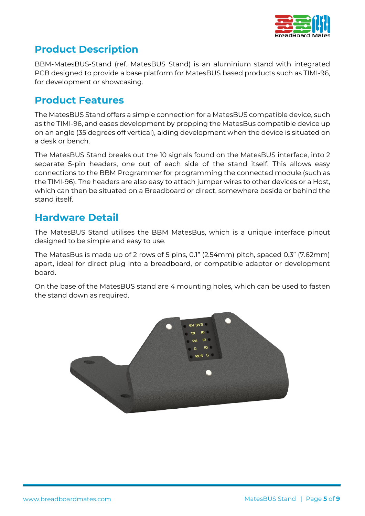

# <span id="page-4-0"></span>**Product Description**

BBM-MatesBUS-Stand (ref. MatesBUS Stand) is an aluminium stand with integrated PCB designed to provide a base platform for MatesBUS based products such as TIMI-96, for development or showcasing.

### <span id="page-4-1"></span>**Product Features**

The MatesBUS Stand offers a simple connection for a MatesBUS compatible device, such as the TIMI-96, and eases development by propping the MatesBus compatible device up on an angle (35 degrees off vertical), aiding development when the device is situated on a desk or bench.

The MatesBUS Stand breaks out the 10 signals found on the MatesBUS interface, into 2 separate 5-pin headers, one out of each side of the stand itself. This allows easy connections to the BBM Programmer for programming the connected module (such as the TIMI-96). The headers are also easy to attach jumper wires to other devices or a Host, which can then be situated on a Breadboard or direct, somewhere beside or behind the stand itself.

## <span id="page-4-2"></span>**Hardware Detail**

The MatesBUS Stand utilises the BBM MatesBus, which is a unique interface pinout designed to be simple and easy to use.

The MatesBus is made up of 2 rows of 5 pins, 0.1" (2.54mm) pitch, spaced 0.3" (7.62mm) apart, ideal for direct plug into a breadboard, or compatible adaptor or development board.

On the base of the MatesBUS stand are 4 mounting holes, which can be used to fasten the stand down as required.

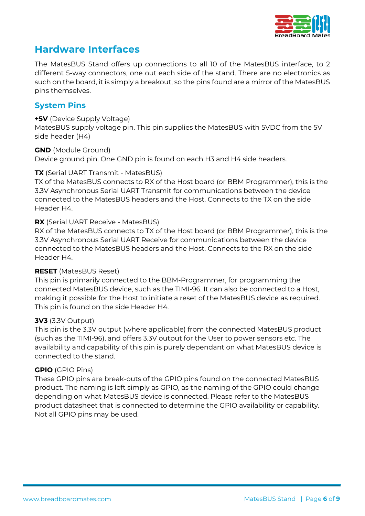

# <span id="page-5-0"></span>**Hardware Interfaces**

The MatesBUS Stand offers up connections to all 10 of the MatesBUS interface, to 2 different 5-way connectors, one out each side of the stand. There are no electronics as such on the board, it is simply a breakout, so the pins found are a mirror of the MatesBUS pins themselves.

#### <span id="page-5-1"></span>**System Pins**

#### **+5V** (Device Supply Voltage)

MatesBUS supply voltage pin. This pin supplies the MatesBUS with 5VDC from the 5V side header (H4)

#### **GND** (Module Ground)

Device ground pin. One GND pin is found on each H3 and H4 side headers.

#### **TX** (Serial UART Transmit - MatesBUS)

TX of the MatesBUS connects to RX of the Host board (or BBM Programmer), this is the 3.3V Asynchronous Serial UART Transmit for communications between the device connected to the MatesBUS headers and the Host. Connects to the TX on the side Header H4.

#### **RX** (Serial UART Receive - MatesBUS)

RX of the MatesBUS connects to TX of the Host board (or BBM Programmer), this is the 3.3V Asynchronous Serial UART Receive for communications between the device connected to the MatesBUS headers and the Host. Connects to the RX on the side Header H4.

#### **RESET** (MatesBUS Reset)

This pin is primarily connected to the BBM-Programmer, for programming the connected MatesBUS device, such as the TIMI-96. It can also be connected to a Host, making it possible for the Host to initiate a reset of the MatesBUS device as required. This pin is found on the side Header H4.

#### **3V3** (3.3V Output)

This pin is the 3.3V output (where applicable) from the connected MatesBUS product (such as the TIMI-96), and offers 3.3V output for the User to power sensors etc. The availability and capability of this pin is purely dependant on what MatesBUS device is connected to the stand.

#### **GPIO** (GPIO Pins)

These GPIO pins are break-outs of the GPIO pins found on the connected MatesBUS product. The naming is left simply as GPIO, as the naming of the GPIO could change depending on what MatesBUS device is connected. Please refer to the MatesBUS product datasheet that is connected to determine the GPIO availability or capability. Not all GPIO pins may be used.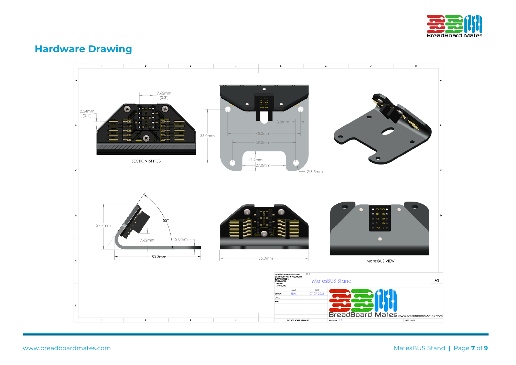

# **Hardware Drawing**

<span id="page-6-0"></span>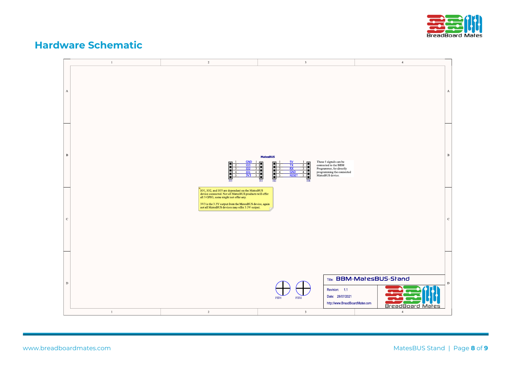

### **Hardware Schematic**

<span id="page-7-0"></span>